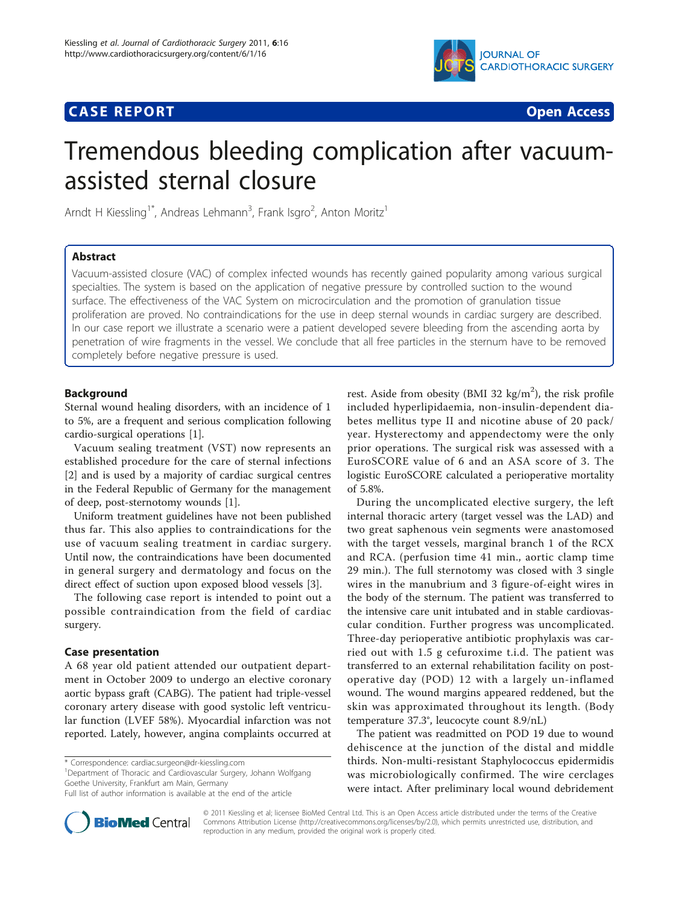# **CASE REPORT CASE REPORT CASE REPORT**



# Tremendous bleeding complication after vacuumassisted sternal closure

Arndt H Kiessling<sup>1\*</sup>, Andreas Lehmann<sup>3</sup>, Frank Isgro<sup>2</sup>, Anton Moritz<sup>1</sup>

# Abstract

Vacuum-assisted closure (VAC) of complex infected wounds has recently gained popularity among various surgical specialties. The system is based on the application of negative pressure by controlled suction to the wound surface. The effectiveness of the VAC System on microcirculation and the promotion of granulation tissue proliferation are proved. No contraindications for the use in deep sternal wounds in cardiac surgery are described. In our case report we illustrate a scenario were a patient developed severe bleeding from the ascending aorta by penetration of wire fragments in the vessel. We conclude that all free particles in the sternum have to be removed completely before negative pressure is used.

# Background

Sternal wound healing disorders, with an incidence of 1 to 5%, are a frequent and serious complication following cardio-surgical operations [[1\]](#page-2-0).

Vacuum sealing treatment (VST) now represents an established procedure for the care of sternal infections [[2\]](#page-2-0) and is used by a majority of cardiac surgical centres in the Federal Republic of Germany for the management of deep, post-sternotomy wounds [\[1](#page-2-0)].

Uniform treatment guidelines have not been published thus far. This also applies to contraindications for the use of vacuum sealing treatment in cardiac surgery. Until now, the contraindications have been documented in general surgery and dermatology and focus on the direct effect of suction upon exposed blood vessels [\[3](#page-2-0)].

The following case report is intended to point out a possible contraindication from the field of cardiac surgery.

# Case presentation

A 68 year old patient attended our outpatient department in October 2009 to undergo an elective coronary aortic bypass graft (CABG). The patient had triple-vessel coronary artery disease with good systolic left ventricular function (LVEF 58%). Myocardial infarction was not reported. Lately, however, angina complaints occurred at

\* Correspondence: [cardiac.surgeon@dr-kiessling.com](mailto:cardiac.surgeon@dr-kiessling.com)

<sup>1</sup>Department of Thoracic and Cardiovascular Surgery, Johann Wolfgang Goethe University, Frankfurt am Main, Germany



During the uncomplicated elective surgery, the left internal thoracic artery (target vessel was the LAD) and two great saphenous vein segments were anastomosed with the target vessels, marginal branch 1 of the RCX and RCA. (perfusion time 41 min., aortic clamp time 29 min.). The full sternotomy was closed with 3 single wires in the manubrium and 3 figure-of-eight wires in the body of the sternum. The patient was transferred to the intensive care unit intubated and in stable cardiovascular condition. Further progress was uncomplicated. Three-day perioperative antibiotic prophylaxis was carried out with 1.5 g cefuroxime t.i.d. The patient was transferred to an external rehabilitation facility on postoperative day (POD) 12 with a largely un-inflamed wound. The wound margins appeared reddened, but the skin was approximated throughout its length. (Body temperature 37.3°, leucocyte count 8.9/nL)

The patient was readmitted on POD 19 due to wound dehiscence at the junction of the distal and middle thirds. Non-multi-resistant Staphylococcus epidermidis was microbiologically confirmed. The wire cerclages were intact. After preliminary local wound debridement



© 2011 Kiessling et al; licensee BioMed Central Ltd. This is an Open Access article distributed under the terms of the Creative Commons Attribution License [\(http://creativecommons.org/licenses/by/2.0](http://creativecommons.org/licenses/by/2.0)), which permits unrestricted use, distribution, and reproduction in any medium, provided the original work is properly cited.

Full list of author information is available at the end of the article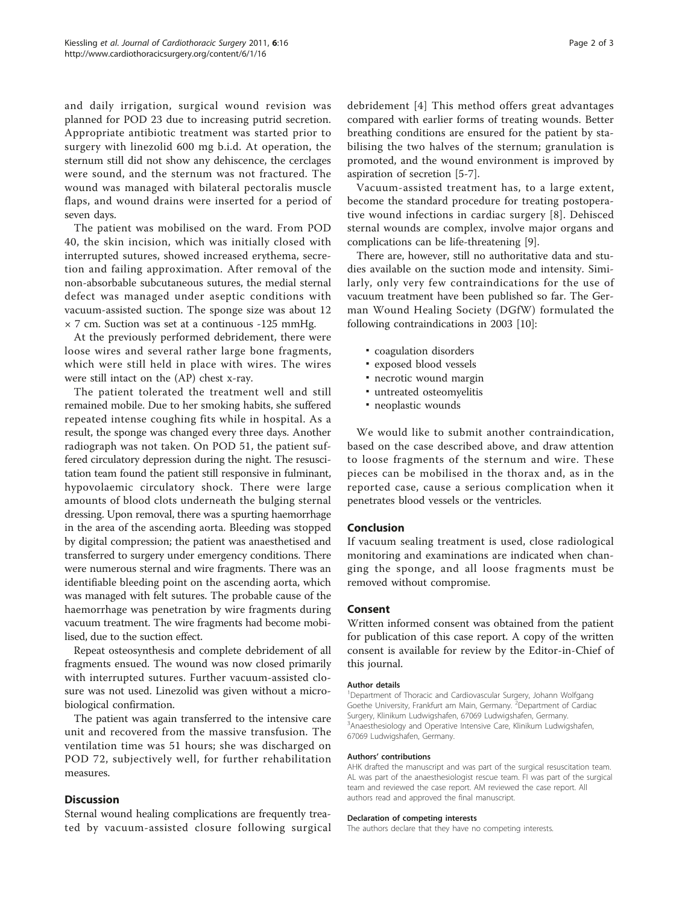and daily irrigation, surgical wound revision was planned for POD 23 due to increasing putrid secretion. Appropriate antibiotic treatment was started prior to surgery with linezolid 600 mg b.i.d. At operation, the sternum still did not show any dehiscence, the cerclages were sound, and the sternum was not fractured. The wound was managed with bilateral pectoralis muscle flaps, and wound drains were inserted for a period of seven days.

The patient was mobilised on the ward. From POD 40, the skin incision, which was initially closed with interrupted sutures, showed increased erythema, secretion and failing approximation. After removal of the non-absorbable subcutaneous sutures, the medial sternal defect was managed under aseptic conditions with vacuum-assisted suction. The sponge size was about 12 × 7 cm. Suction was set at a continuous -125 mmHg.

At the previously performed debridement, there were loose wires and several rather large bone fragments, which were still held in place with wires. The wires were still intact on the (AP) chest x-ray.

The patient tolerated the treatment well and still remained mobile. Due to her smoking habits, she suffered repeated intense coughing fits while in hospital. As a result, the sponge was changed every three days. Another radiograph was not taken. On POD 51, the patient suffered circulatory depression during the night. The resuscitation team found the patient still responsive in fulminant, hypovolaemic circulatory shock. There were large amounts of blood clots underneath the bulging sternal dressing. Upon removal, there was a spurting haemorrhage in the area of the ascending aorta. Bleeding was stopped by digital compression; the patient was anaesthetised and transferred to surgery under emergency conditions. There were numerous sternal and wire fragments. There was an identifiable bleeding point on the ascending aorta, which was managed with felt sutures. The probable cause of the haemorrhage was penetration by wire fragments during vacuum treatment. The wire fragments had become mobilised, due to the suction effect.

Repeat osteosynthesis and complete debridement of all fragments ensued. The wound was now closed primarily with interrupted sutures. Further vacuum-assisted closure was not used. Linezolid was given without a microbiological confirmation.

The patient was again transferred to the intensive care unit and recovered from the massive transfusion. The ventilation time was 51 hours; she was discharged on POD 72, subjectively well, for further rehabilitation measures.

### **Discussion**

Sternal wound healing complications are frequently treated by vacuum-assisted closure following surgical debridement [[4\]](#page-2-0) This method offers great advantages compared with earlier forms of treating wounds. Better breathing conditions are ensured for the patient by stabilising the two halves of the sternum; granulation is promoted, and the wound environment is improved by aspiration of secretion [\[5](#page-2-0)-[7\]](#page-2-0).

Vacuum-assisted treatment has, to a large extent, become the standard procedure for treating postoperative wound infections in cardiac surgery [[8\]](#page-2-0). Dehisced sternal wounds are complex, involve major organs and complications can be life-threatening [\[9](#page-2-0)].

There are, however, still no authoritative data and studies available on the suction mode and intensity. Similarly, only very few contraindications for the use of vacuum treatment have been published so far. The German Wound Healing Society (DGfW) formulated the following contraindications in 2003 [\[10](#page-2-0)]:

- coagulation disorders
- exposed blood vessels
- necrotic wound margin
- untreated osteomyelitis
- neoplastic wounds

We would like to submit another contraindication, based on the case described above, and draw attention to loose fragments of the sternum and wire. These pieces can be mobilised in the thorax and, as in the reported case, cause a serious complication when it penetrates blood vessels or the ventricles.

# Conclusion

If vacuum sealing treatment is used, close radiological monitoring and examinations are indicated when changing the sponge, and all loose fragments must be removed without compromise.

#### Consent

Written informed consent was obtained from the patient for publication of this case report. A copy of the written consent is available for review by the Editor-in-Chief of this journal.

#### Author details

<sup>1</sup>Department of Thoracic and Cardiovascular Surgery, Johann Wolfgang Goethe University, Frankfurt am Main, Germany. <sup>2</sup>Department of Cardiac Surgery, Klinikum Ludwigshafen, 67069 Ludwigshafen, Germany. <sup>3</sup> Anaesthesiology and Operative Intensive Care, Klinikum Ludwigshafen, 67069 Ludwigshafen, Germany.

#### Authors' contributions

AHK drafted the manuscript and was part of the surgical resuscitation team. AL was part of the anaesthesiologist rescue team. FI was part of the surgical team and reviewed the case report. AM reviewed the case report. All authors read and approved the final manuscript.

#### Declaration of competing interests

The authors declare that they have no competing interests.